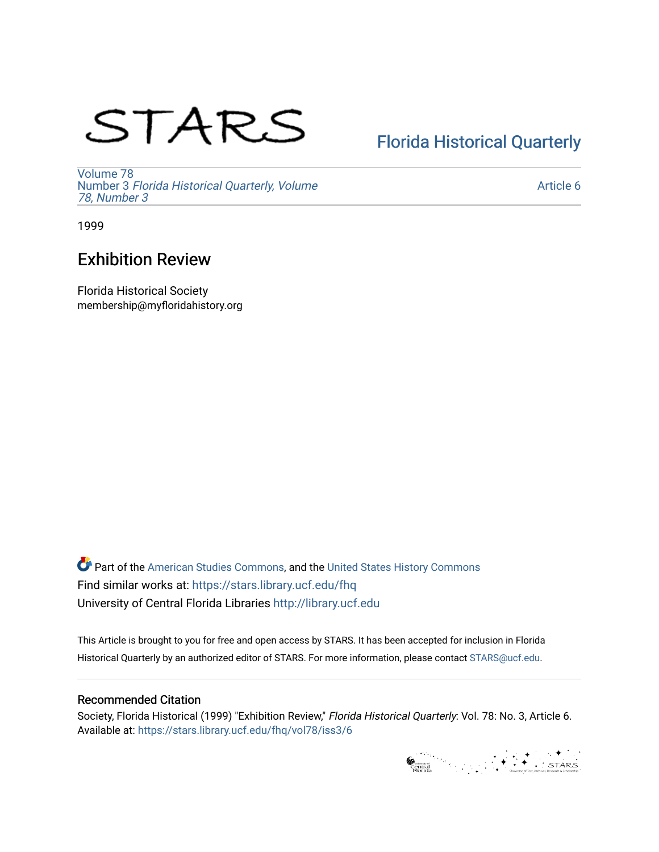# STARS

## [Florida Historical Quarterly](https://stars.library.ucf.edu/fhq)

[Volume 78](https://stars.library.ucf.edu/fhq/vol78) Number 3 [Florida Historical Quarterly, Volume](https://stars.library.ucf.edu/fhq/vol78/iss3)  [78, Number 3](https://stars.library.ucf.edu/fhq/vol78/iss3)

[Article 6](https://stars.library.ucf.edu/fhq/vol78/iss3/6) 

1999

## Exhibition Review

Florida Historical Society membership@myfloridahistory.org

**C** Part of the [American Studies Commons](http://network.bepress.com/hgg/discipline/439?utm_source=stars.library.ucf.edu%2Ffhq%2Fvol78%2Fiss3%2F6&utm_medium=PDF&utm_campaign=PDFCoverPages), and the United States History Commons Find similar works at: <https://stars.library.ucf.edu/fhq> University of Central Florida Libraries [http://library.ucf.edu](http://library.ucf.edu/) 

This Article is brought to you for free and open access by STARS. It has been accepted for inclusion in Florida Historical Quarterly by an authorized editor of STARS. For more information, please contact [STARS@ucf.edu.](mailto:STARS@ucf.edu)

#### Recommended Citation

Society, Florida Historical (1999) "Exhibition Review," Florida Historical Quarterly: Vol. 78: No. 3, Article 6. Available at: [https://stars.library.ucf.edu/fhq/vol78/iss3/6](https://stars.library.ucf.edu/fhq/vol78/iss3/6?utm_source=stars.library.ucf.edu%2Ffhq%2Fvol78%2Fiss3%2F6&utm_medium=PDF&utm_campaign=PDFCoverPages) 

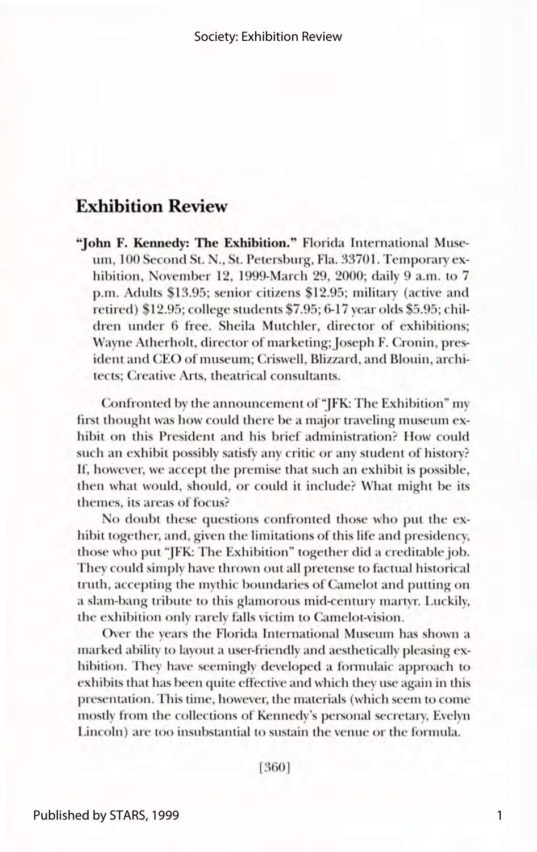### **Exhibition Review**

"John F. Kennedy: The Exhibition." Florida International Museum, 100 Second St. N., St. Petersburg, Fla. 33701. Temporary exhibition, November 12, 1999-March 29, 2000; daily 9 a.m. to 7 p.m. Adults \$13.95; senior citizens \$12.95; military (active and retired) \$12.95; college students \$7.95; 6-17 year olds \$5.95; children under 6 free. Sheila Mutchler, director of exhibitions: Wayne Atherholt, director of marketing; Joseph F. Cronin, president and CEO of museum; Criswell, Blizzard, and Blouin, architects: Creative Arts, theatrical consultants.

Confronted by the announcement of "JFK: The Exhibition" my first thought was how could there be a major traveling museum exhibit on this President and his brief administration? How could such an exhibit possibly satisfy any critic or any student of history? If, however, we accept the premise that such an exhibit is possible. then what would, should, or could it include? What might be its themes, its areas of focus?

No doubt these questions confronted those who put the exhibit together, and, given the limitations of this life and presidency, those who put "JFK: The Exhibition" together did a creditable job. They could simply have thrown out all pretense to factual historical truth, accepting the mythic boundaries of Camelot and putting on a slam-bang tribute to this glamorous mid-century martyr. Luckily, the exhibition only rarely falls victim to Camelot-vision.

Over the years the Florida International Museum has shown a marked ability to layout a user-friendly and aesthetically pleasing exhibition. They have seemingly developed a formulaic approach to exhibits that has been quite effective and which they use again in this presentation. This time, however, the materials (which seem to come mostly from the collections of Kennedy's personal secretary, Evelyn Lincoln) are too insubstantial to sustain the venue or the formula.

[360]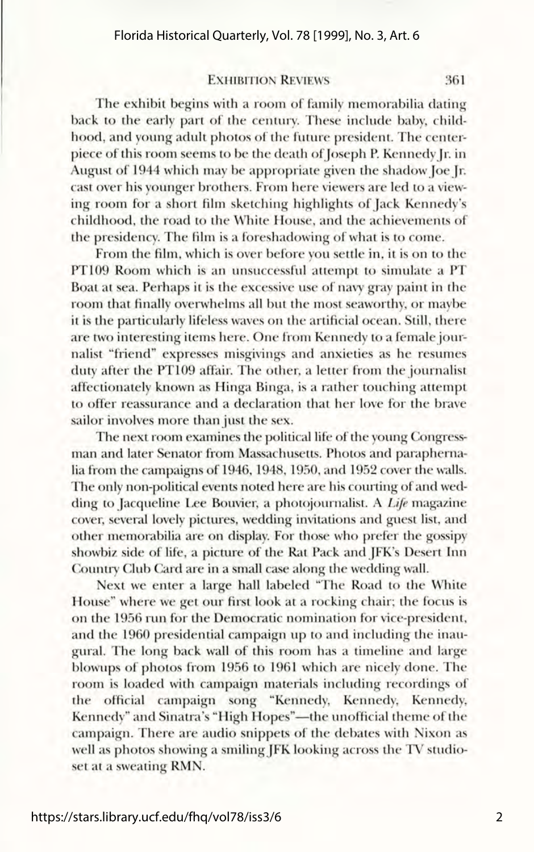#### Florida Historical Quarterly, Vol. 78 [1999], No. 3, Art. 6

#### **EXHIBITION REVIEWS** 361

The exhibit begins with a room of family memorabilia dating back to the early part of the century. These include baby, childhood, and young adult photos of the future president. The centerpiece of this room seems to be the death of Joseph P. Kennedy Jr. in August of 1944 which may be appropriate given the shadow Joe Jr. cast over his younger brothers. From here viewers are led to a viewing room for a short film sketching highlights of Jack Kennedy's childhood, the road to the White House, and the achievements of the presidency. The film is a foreshadowing of what is to come.

From the film, which is over before you settle in, it is on to the PT109 Room which is an unsuccessful attempt to simulate a PT Boat at sea. Perhaps it is the excessive use of navy gray paint in the room that finally overwhelms all but the most seaworthy, or maybe it is the particularly lifeless waves on the artificial ocean. Still, there are two interesting items here. One from Kennedy to a female journalist "friend" expresses misgivings and anxieties as he resumes duty after the PT109 affair. The other, a letter from the journalist affectionately known as Hinga Binga, is a rather touching attempt to offer reassurance and a declaration that her love for the brave sailor involves more than just the sex.

The next room examines the political life of the young Congressman and later Senator from Massachusetts. Photos and paraphernalia from the campaigns of 1946, 1948, 1950, and 1952 cover the walls. The only non-political events noted here are his courting of and wedding to Jacqueline Lee Bouvier, a photojournalist. A *Life* magazine cover, several lovely pictures, wedding invitations and guest list, and other memorabilia are on display. For those who prefer the gossipy showbiz side of life, a picture of the Rat Pack and JFK's Desert Inn Country Club Card are in a small case along the wedding wall.

Next we enter a large hall labeled "The Road to the White House" where we get our first look at a rocking chair; the focus is on the 1956 run for the Democratic nomination for vice-president, and the 1960 presidential campaign up to and including the inaugural. The long back wall of this room has a timeline and larg blowups of photos from 1956 to 1961 which are nicely done. The room is loaded with campaign materials including recordings of the official campaign song "Kennedy, Kennedy, Kennedy, Kennedy" and Sinatra's "High Hopes"-the unofficial theme of the campaign. There are audio snippets of the debates with Nixon as well as photos showing a smiling JFK looking across the TV studioset at a sweating RMN.

 $\overline{\phantom{0}}$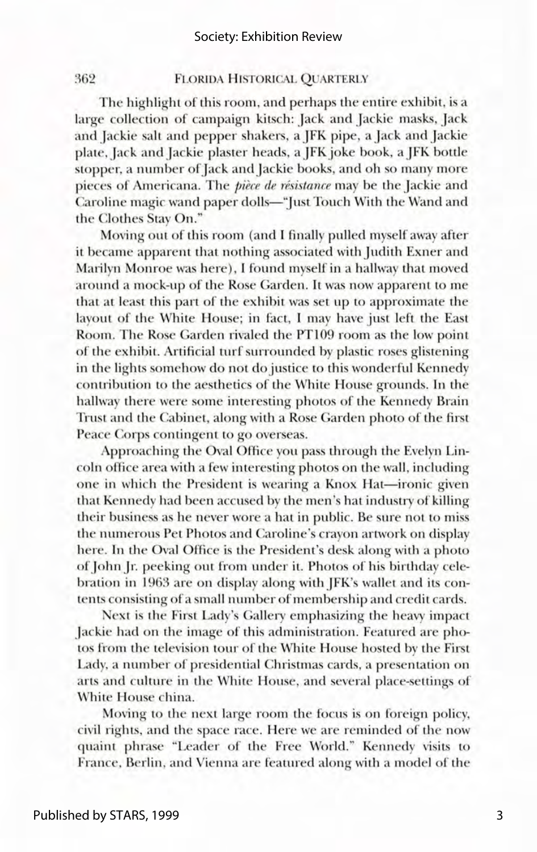#### 362 FLORIDA HISTORICAL OUARTERLY

The highlight of this room, and perhaps the entire exhibit, is a large collection of campaign kitsch: Jack and Jackie masks, Jack and Jackie salt and pepper shakers, a JFK pipe, a Jack and Jackie plate, Jack and Jackie plaster heads, a JFK joke book, a JFK bottle stopper, a number of Jack and Jackie books, and oh so many more pieces of Americana. The *piece de résistance* may be the Jackie and Caroline magic wand paper dolls—"Just Touch With the Wand and the Clothes Stay On."

Moving out of this room (and I finally pulled myself away after it became apparent that nothing associated with Judith Exner and Marilyn Monroe was here). I found myself in a hallway that moved around a mock-up of the Rose Garden. It was now apparent to me that at least this part of the exhibit was set up to approximate the layout of the White House; in fact, I may have just left the East Room. The Rose Garden rivaled the PT109 room as the low point of the exhibit. Artificial turf surrounded by plastic roses glistening in the lights somehow do not do justice to this wonderful Kennedy contribution to the aesthetics of the White House grounds. In the hallway there were some interesting photos of the Kennedy Brain Trust and the Cabinet, along with a Rose Garden photo of the first Peace Corps contingent to go overseas.

Approaching the Oval Office you pass through the Evelyn Lincoln office area with a few interesting photos on the wall, including one in which the President is wearing a Knox Hat-ironic given that Kennedy had been accused by the men's hat industry of killing their business as he never wore a hat in public. Be sure not to miss the numerous Pet Photos and Caroline's crayon artwork on display here. In the Oval Office is the President's desk along with a photo of John Jr. peeking out from under it. Photos of his birthday celebration in 1963 are on display along with JFK's wallet and its contents consisting of a small number of membership and credit cards.

Next is the First Lady's Gallery emphasizing the heavy impact Jackie had on the image of this administration. Featured are photos from the television tour of the White House hosted by the First Lady, a number of presidential Christmas cards, a presentation on arts and culture in the White House, and several place-settings of White House china.

Moving to the next large room the focus is on foreign policy, civil rights, and the space race. Here we are reminded of the now quaint phrase "Leader of the Free World." Kennedy visits to France, Berlin, and Vienna are featured along with a model of the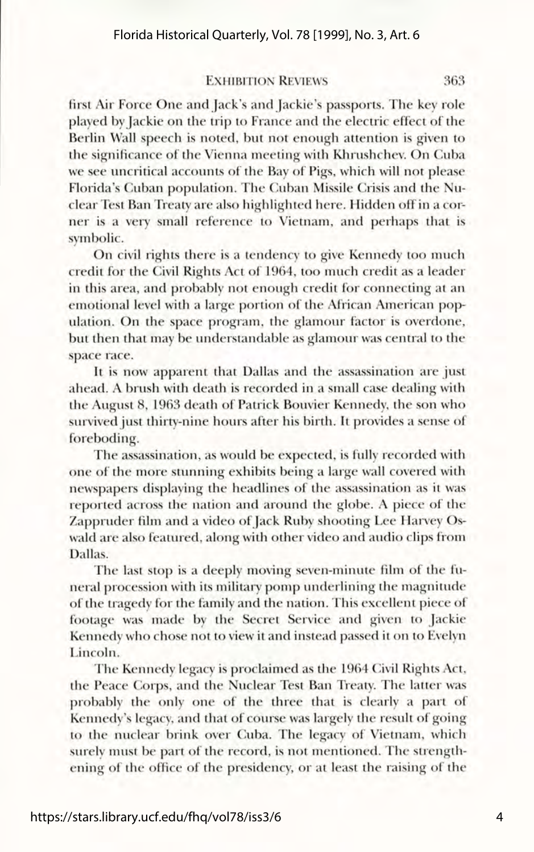#### **EXHIBITION REVIEWS** 363

first Air Force One and Jack's and Jackie's passports. The key role played by Jackie on the trip to France and the electric effect of the Berlin Wall speech is noted, but not enough attention is given to the significance of the Vienna meeting with Khrushchev. On Cuba we see uncritical accounts of the Bay of Pigs, which will not please Florida's Cuban population. The Cuban Missile Crisis and the Nuclear Test Ban Treaty are also highlighted here. Hidden off in a corner is a very small reference to Vietnam, and perhaps that i symbolic.

On civil rights there is a tendency to give Kennedy too much credit for the Civil Rights Act of 1964, too much credit as a leader in this area, and probably not enough credit for connecting at an emotional level with a large portion of the African American population. On the space program, the glamour factor is overdone, but then that may be understandable as glamour was central to the space race.

It is now apparent that Dallas and the assassination are just ahead. A brush with death is recorded in a small case dealing with the August 8, 1963 death of Patrick Bouvier Kennedy, the son who survived just thirty-nine hours after his birth. It provides a sense of foreboding.

The assassination, as would be expected, is fully recorded with one of the more stunning exhibits being a large wall covered with newspapers displaying the headlines of the assassination as it was reported across the nation and around the globe. A piece of the Zappruder film and a video of Jack Ruby shooting Lee Harvey Oswald are also featured, along with other video and audio clips from Dallas.

The last stop is a deeply moving seven-minute film of the funeral procession with its military pomp underlining the magnitude of the tragedy for the family and the nation. This excellent piece of footage was made by the Secret Service and given to Jackie Kennedy who chose not to view it and instead passed it on to Evelyn Lincoln.

The Kennedy legacy is proclaimed as the 1964 Civil Rights Act, the Peace Corps, and the Nuclear Test Ban Treaty. The latter was probably the only one of the three that is clearly a part of Kennedy's legacy, and that of course was largely the result of going to the nuclear brink over Cuba. The legacy of Vietnam, which surely must be part of the record, is not mentioned. The strengthening of the office of the presidency, or at least the raising of the